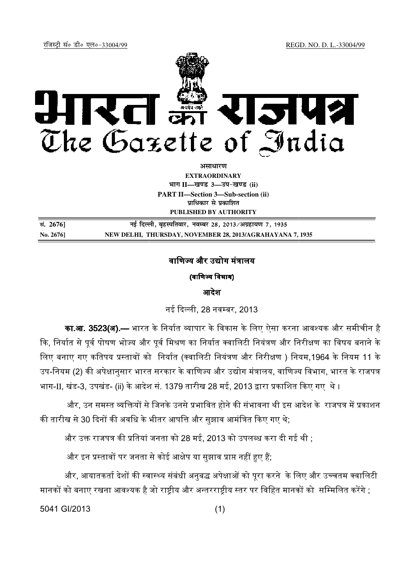REGD. NO. D. L. L.-33004/99

रजिस्टी सं० डी० एल०-33004/99



अ**साधार**ण

**EXTRAORDINARY Hkkx II—[k.M 3—mi&[k.M (ii) PART II—Section 3—Sub-section (ii) प्राधिकार से प्रकाशित** 

**PUBLISHED BY AUTHORITY** 

**la. 2676] ubZ fnYyh] c`gLifrokj] uoEcj 28] 2013@vxzgk;.k 7] 1935** No. 2676] NEW DELHI, THURSDAY, NOVEMBER 28, 2013/AGRAHAYANA 7, 1935

## वाणिज्य और उद्योग मंत्रालय

(वाणिज्य विभाग)

आदेश

नई दिल्ली, 28 नवम्बर, 2013

**का.आ. 3523(अ).—** भारत के निर्यात व्यापार के विकास के लिए ऐसा करना आवश्यक और समीचीन है कि, निर्यात से पूर्व पोषण भोज्य और पूर्व मिश्रण का निर्यात क्वालिटी नियंत्रण और निरीक्षण का विषय बनाने के लिए बनाए गए कतिपय प्रस्तावों को निर्यात (क्वालिटी नियंत्रण और निरीक्षण ) नियम,1964 के नियम 11 के उप-नियम (2) की अपेक्षानुसार भारत सरकार के वाणिज्य और उद्योग मंत्रालय, वाणिज्य विभाग, भारत के राजपत्र भाग-II, खंड-3, उपखंड- (ii) के आदेश सं. 1379 तारीख 28 मई, 2013 द्वारा प्रकाशित किए गए थे ।

और, उन समस्त व्यक्तियों से जिनके उनसे प्रभावित होने की संभावना थी इस आदेश के राजपत्र में प्रकाशन की तारीख से 30 दिनों की अवधि के भीतर आपत्ति और सुझाव आमंत्रित किए गए थे;

और उक्त राजपत्र की प्रतियां जनता को 28 मई, 2013 को उपलब्ध करा दी गई थी ;

और इन प्रस्तावों पर जनता से कोई आक्षेप या सुझाव प्राप्त नहीं हुए हैं;

और, आयातकतो देशों की स्वास्थ्य संबंधी अनुबद्ध अपेक्षाओं को पूरा करने के लिए और उच्चतम क्वालिटी | मानकों को बनाए रखना आवश्यक है जो राष्ट्रीय और अन्तरराष्ट्रीय स्तर पर विहित मानकों को सम्मिलित करेंगे ;

5041 GI/2013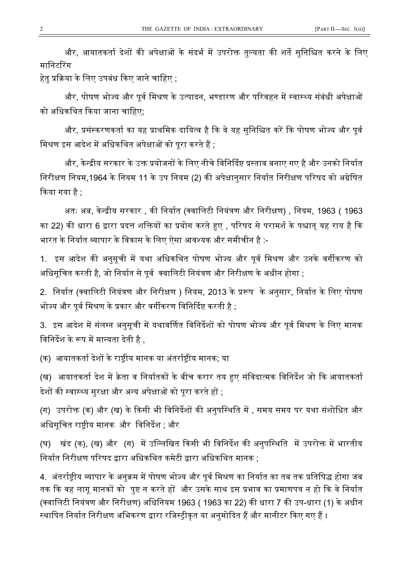और, आयातकर्ता देशों की अपेक्षाओं के संदर्भ में उपरोक्त तुल्यता की शर्ते सुनिश्चित करने के लिए मानिटरिंग

हेतु प्रक्रिया के लिए उपबंध किए जाने चाहिए ;

और, पोषण भोज्य और पूर्व मिश्रण के उत्पादन, भण्डारण और परिवहन में स्वास्थ्य संबंधी अपेक्षाओं को अधिकथित किया जाना चाहिए;

और, प्रसंस्करणकर्ता का यह प्राथमिक दायित्व है कि वे यह सुनिश्चित करें कि पोषण भोज्य और पूर्व मिश्रण इस आदेश में अधिकथित अपेक्षाओं को पूरा करते हैं ;

और, केन्द्रीय सरकार के उक्त प्रयोजनों के लिए नीचे विनिर्दिष्ट प्रस्ताव बनाए गए है और उनको निर्यात निरीक्षण नियम,1964 के नियम 11 के उप नियम (2) की अपेक्षानुसार निर्यात निरीक्षण परिषद को अग्रेषित कया गया है ;

अतः अब, केन्द्रीय सरकार , की निर्यात (क्वालिटी नियंत्रण और निरीक्षण) , नियम, 1963 ( 1963 का 22) की धारा 6 द्वारा प्रदत्त शक्तियों का प्रयोग करते हुए , परिषद से परामर्श के पश्चात् यह राय है कि भारत के निर्यात व्यापार के विकास के लिए ऐसा आवश्यक और समीचीन है :-

1. इस आदेश की अनुसूची में यथा अधिकथित पोषण भोज्य और पूर्व मिश्रण और उनके वर्गीकरण को अधिसूचित करती है, जो निर्यात से पूर्व क्वालिटी नियंत्रण और निरीक्षण के अधीन होगा ;

2. निर्यात (क्वालिटी नियंत्रण और निरीक्षण ) नियम, 2013 के प्ररूप के अनुसार, निर्यात के लिए पोषण भोज्य और पूर्व मिश्रण के प्रकार और वर्गीकरण विनिर्दिष्ट करती है ;

3. इस आदेश में संलग्न अनुसूची में यथावर्णित विनिर्देशों को पोषण भोज्य और पूर्व मिश्रण के लिए मानक विनिर्देश के रूप में मान्यता देती है .

(क) आयातकर्ता देशों के राष्ट्रीय मानक या अंतर्राष्ट्रीय मानक; या

(ख) आयातकर्ता देश में क्रेता व निर्यातकों के बीच करार तय हुए संविदात्मक विनिर्देश जो कि आयातकर्ता देशों की स्वास्थ्य सुरक्षा और अन्य अपेक्षाओं को पूरा करते हों ;

(ग) उपरोक्त (क) और (ख) के किसी भी विनिर्देशों की अनुपस्थिति में , समय समय पर यथा संशोधित और अधिसूचित राष्ट्रीय मानक और विनिर्देश ; और

(घ) खंड (क), (ख) और (ग) में उल्लिखित किसी भी विनिर्देश की अनुपस्थिति में उपरोक्त में भारतीय निर्यात निरीक्षण परिषद द्वारा अधिकथित कमेटी द्वारा अधिकथित मानक ;

4. अंतर्राष्ट्रीय व्यापार के अनुक्रम में पोषण भोज्य और पूर्व मिश्रण का निर्यात का तब तक प्रतिषिद्ध होगा जब तक कि वह लागू मानकों को पुष्ट न करते हों और उसके साथ इस प्रभाव का प्रमाणपत्र न हो कि वे निर्यात (क्वालिटी नियंत्रण और निरीक्षण) अधिनियम 1963 ( 1963 का 22) की धारा 7 की उप-धारा (1) के अधीन स्थापित निर्यात निरीक्षण अभिकरण द्वारा रजिस्ट्रीकृत या अनुमोदित हैं और मानीटर किए गए हैं ।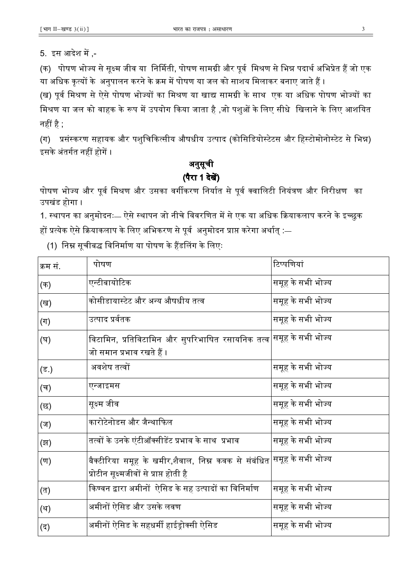(क) पोषण भोज्य से सुक्ष्म जीव या निर्मिती, पोषण सामग्री और पूर्व मिश्रण से भिन्न पदार्थ अभिप्रेत हैं जो एक या अधिक कृत्यों के अनुपालन करने के क्रम में पोषण या जल को साशय मिलाकर बनाए जाते हैं ।

(ख) पूर्व मिश्रण से ऐसे पोषण भोज्यों का मिश्रण या खाद्य सामग्री के साथ एक या अधिक पोषण भोज्यों का मिश्रण या जल को वाहक के रूप में उपयोग किया जाता है ,जो पशुओं के लिए सीधे खिलाने के लिए आशयित नहीं है ;

(ग) प्रसंस्करण सहायक और पशुचिकित्सीय औषधीय उत्पाद (कोसिडियोस्टेटस और हिस्टोमोनोस्टेट से भिन्न) इसके अंतर्गत नहीं होगें ।

# अनुसूची अनुसूची (पैरा 1 देख)

पोषण भोज्य और पूर्व मिश्रण और उसका वर्गीकरण निर्यात से पूर्व क्वालिटी नियंत्रण और निरीक्षण का उपखंड होगा ।

1. स्थापन का अनुमोदनः— ऐसे स्थापन जो नीचे विवरणित में से एक या अधिक क्रियाकलाप करने के इच्छुक हों प्रत्येक ऐसे क्रियाकलाप के लिए अभिकरण से पूर्व अनुमोदन प्राप्त करेगा अर्थात् :—

(1) निम्न सूचीबद्ध विनिर्माण या पोषण के हैंडलिंग के लिएः

| क्रम सं.                  | पोषण                                                                                                                          | टिप्पणियां        |
|---------------------------|-------------------------------------------------------------------------------------------------------------------------------|-------------------|
| (क)                       | एन्टीबायोटिक                                                                                                                  | समूह के सभी भोज्य |
| (ख)                       | कोसीडायास्टेट और अन्य औषधीय तत्व                                                                                              | समूह के सभी भोज्य |
| $(\Pi)$                   | उत्पाद प्रर्वतक                                                                                                               | समूह के सभी भोज्य |
| (घ)                       | विटामिन, प्रतिविटामिन और सुपरिभाषित रसायनिक तत्व $ $ समूह के सभी भोज्य<br>जो समान प्रभाव रखते हैं ।                           |                   |
| (ड.)                      | अवशेष तत्वों                                                                                                                  | समूह के सभी भोज्य |
| (च)                       | एन्जाइमस                                                                                                                      | समूह के सभी भोज्य |
| (छ)                       | सूक्ष्म जीव                                                                                                                   | समूह के सभी भोज्य |
| (ज)                       | कारोटेनोडस और जैन्थाफिल                                                                                                       | समूह के सभी भोज्य |
| (झ)                       | तत्वों के उनके एंटीऑक्सीडेंट प्रभाव के साथ  प्रभाव                                                                            | समूह के सभी भोज्य |
| $(\overline{\mathbb{U}})$ | बैक्टीरिया समूह के खमीर,शैवाल, निम्न कवक से संबंधित <sup> </sup> समूह के सभी भोज्य<br>प्रोटीन सूक्ष्मजीवों से प्राप्त होती है |                   |
| (त)                       | किण्वन द्वारा अमीनों  ऐसिड के सह उत्पादों का विनिर्माण                                                                        | समूह के सभी भोज्य |
| (थ)                       | अमीनों ऐसिड और उसके लवण                                                                                                       | समूह के सभी भोज्य |
| (द)                       | अमीनों ऐसिड के सहधर्मी हाईड्रोक्सी ऐसिड                                                                                       | समूह के सभी भोज्य |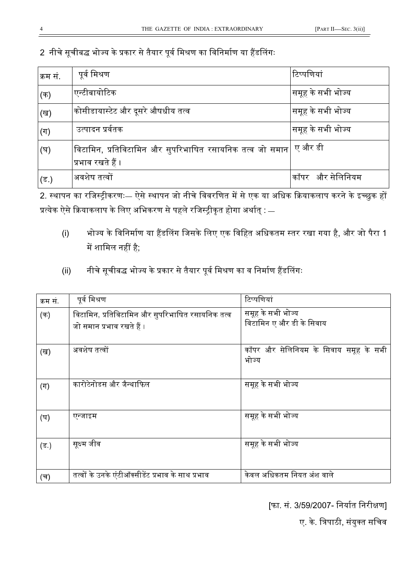2 नीचे सूचीबद्ध भोज्य के प्रकार से तैयार पूर्व मिश्रण का विनिर्माण या हैंडलिंगः

| क्रम सं. | पूर्व मिश्रण                                                                  | टिप्पणियां        |
|----------|-------------------------------------------------------------------------------|-------------------|
| (क)      | एन्टीबायोटिक                                                                  | समूह के सभी भोज्य |
| (ख)      | कोसीडायास्टेट और दूसरे औषधीय तत्व                                             | समूह के सभी भोज्य |
| (ग)      | उत्पादन प्रर्वतक                                                              | समूह के सभी भोज्य |
| (घ)      | विटामिन, प्रतिविटामिन और सुपरिभाषित रसायनिक तत्व जो समान<br>प्रभाव रखते हैं । | ए और डी           |
| (ड.)     | अवशेष तत्वों                                                                  | कॉपर और सेलिनियम  |

2. थापन का रिज]ीकरणः— ऐसे थापन जो नीचे िववरिणत म3 से एक या अिधक Pयाकलाप करने के इKछुक ह प्रत्येक ऐसे क्रियाकलाप के लिए अभिकरण से पहले रजिस्ट्रीकृत होगा अर्थात् : —

- (i) भोज्य के विनिर्माण या हैंडलिंग जिसके लिए एक विहित अधिकतम स्तर रखा गया है, और जो पैरा 1 में शामिल नहीं है;
- (ii) नीचे सूचीबद्ध भोज्य के प्रकार से तैयार पूर्व मिश्रण का व निर्माण हैंडलिंगः

| क्रम सं | पूर्व मिश्रण                                                                  | टिप्पणियां                                     |
|---------|-------------------------------------------------------------------------------|------------------------------------------------|
| (क)     | विटामिन, प्रतिविटामिन और सुपरिभाषित रसायनिक तत्व<br>जो समान प्रभाव रखते हैं । | समूह के सभी भोज्य<br>विटामिन ए और डी के सिवाय  |
| (ख)     | अवशेष तत्वों                                                                  | कॉपर और सेलिनियम के सिवाय समूह के सभी<br>भोज्य |
| $(\Pi)$ | कारोटेनोडस और जैन्थाफिल                                                       | समूह के सभी भोज्य                              |
| (घ)     | एन्जाइम                                                                       | समूह के सभी भोज्य                              |
| $($ ड)  | सूक्ष्म जीव                                                                   | समूह के सभी भोज्य                              |
| (च)     | तत्वों के उनके एंटीऑक्सीडेंट प्रभाव के साथ प्रभाव                             | केवल अधिकतम नियत अंश वाले                      |

[फा. सं. 3/59/2007- निर्यात निरीक्षण]

ए. के. त्रिपाठी, संयुक्त सचिव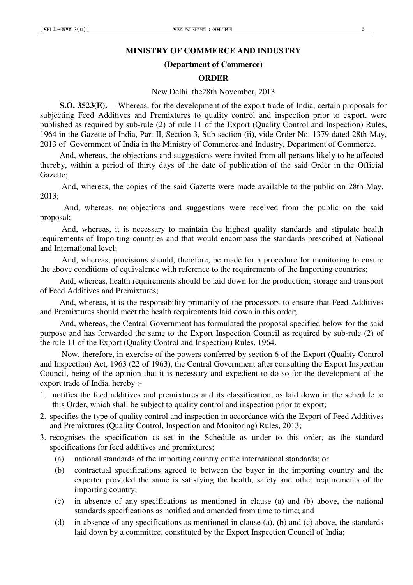## **MINISTRY OF COMMERCE AND INDUSTRY**

#### **(Department of Commerce)**

#### **ORDER**

#### New Delhi, the28th November, 2013

**S.O. 3523(E).**— Whereas, for the development of the export trade of India, certain proposals for subjecting Feed Additives and Premixtures to quality control and inspection prior to export, were published as required by sub-rule (2) of rule 11 of the Export (Quality Control and Inspection) Rules, 1964 in the Gazette of India, Part II, Section 3, Sub-section (ii), vide Order No. 1379 dated 28th May, 2013 of Government of India in the Ministry of Commerce and Industry, Department of Commerce.

And, whereas, the objections and suggestions were invited from all persons likely to be affected thereby, within a period of thirty days of the date of publication of the said Order in the Official Gazette;

 And, whereas, the copies of the said Gazette were made available to the public on 28th May, 2013;

 And, whereas, no objections and suggestions were received from the public on the said proposal;

 And, whereas, it is necessary to maintain the highest quality standards and stipulate health requirements of Importing countries and that would encompass the standards prescribed at National and International level;

 And, whereas, provisions should, therefore, be made for a procedure for monitoring to ensure the above conditions of equivalence with reference to the requirements of the Importing countries;

And, whereas, health requirements should be laid down for the production; storage and transport of Feed Additives and Premixtures;

And, whereas, it is the responsibility primarily of the processors to ensure that Feed Additives and Premixtures should meet the health requirements laid down in this order;

And, whereas, the Central Government has formulated the proposal specified below for the said purpose and has forwarded the same to the Export Inspection Council as required by sub-rule (2) of the rule 11 of the Export (Quality Control and Inspection) Rules, 1964.

 Now, therefore, in exercise of the powers conferred by section 6 of the Export (Quality Control and Inspection) Act, 1963 (22 of 1963), the Central Government after consulting the Export Inspection Council, being of the opinion that it is necessary and expedient to do so for the development of the export trade of India, hereby :-

- 1. notifies the feed additives and premixtures and its classification, as laid down in the schedule to this Order, which shall be subject to quality control and inspection prior to export;
- 2. specifies the type of quality control and inspection in accordance with the Export of Feed Additives and Premixtures (Quality Control, Inspection and Monitoring) Rules, 2013;
- 3. recognises the specification as set in the Schedule as under to this order, as the standard specifications for feed additives and premixtures;
	- (a) national standards of the importing country or the international standards; or
	- (b) contractual specifications agreed to between the buyer in the importing country and the exporter provided the same is satisfying the health, safety and other requirements of the importing country;
	- (c) in absence of any specifications as mentioned in clause (a) and (b) above, the national standards specifications as notified and amended from time to time; and
	- (d) in absence of any specifications as mentioned in clause (a), (b) and (c) above, the standards laid down by a committee, constituted by the Export Inspection Council of India;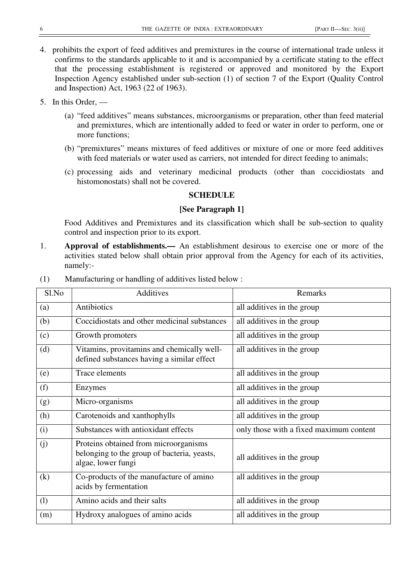- 4. prohibits the export of feed additives and premixtures in the course of international trade unless it confirms to the standards applicable to it and is accompanied by a certificate stating to the effect that the processing establishment is registered or approved and monitored by the Export Inspection Agency established under sub-section (1) of section 7 of the Export (Quality Control and Inspection) Act, 1963 (22 of 1963).
- 5. In this Order,
	- (a) "feed additives" means substances, microorganisms or preparation, other than feed material and premixtures, which are intentionally added to feed or water in order to perform, one or more functions;
	- (b) "premixtures" means mixtures of feed additives or mixture of one or more feed additives with feed materials or water used as carriers, not intended for direct feeding to animals;
	- (c) processing aids and veterinary medicinal products (other than coccidiostats and histomonostats) shall not be covered.

## **SCHEDULE**

## **[See Paragraph 1]**

Food Additives and Premixtures and its classification which shall be sub-section to quality control and inspection prior to its export.

1. **Approval of establishments.—** An establishment desirous to exercise one or more of the activities stated below shall obtain prior approval from the Agency for each of its activities, namely:-

| Sl.No | Additives                                                                                                  | Remarks                                 |
|-------|------------------------------------------------------------------------------------------------------------|-----------------------------------------|
| (a)   | Antibiotics                                                                                                | all additives in the group              |
| (b)   | Coccidiostats and other medicinal substances                                                               | all additives in the group              |
| (c)   | Growth promoters                                                                                           | all additives in the group              |
| (d)   | Vitamins, provitamins and chemically well-<br>defined substances having a similar effect                   | all additives in the group              |
| (e)   | <b>Trace elements</b>                                                                                      | all additives in the group              |
| (f)   | Enzymes                                                                                                    | all additives in the group              |
| (g)   | Micro-organisms                                                                                            | all additives in the group              |
| (h)   | Carotenoids and xanthophylls                                                                               | all additives in the group              |
| (i)   | Substances with antioxidant effects                                                                        | only those with a fixed maximum content |
| (j)   | Proteins obtained from microorganisms<br>belonging to the group of bacteria, yeasts,<br>algae, lower fungi | all additives in the group              |
| (k)   | Co-products of the manufacture of amino<br>acids by fermentation                                           | all additives in the group              |
| (1)   | Amino acids and their salts                                                                                | all additives in the group              |
| (m)   | Hydroxy analogues of amino acids                                                                           | all additives in the group              |

(1) Manufacturing or handling of additives listed below :